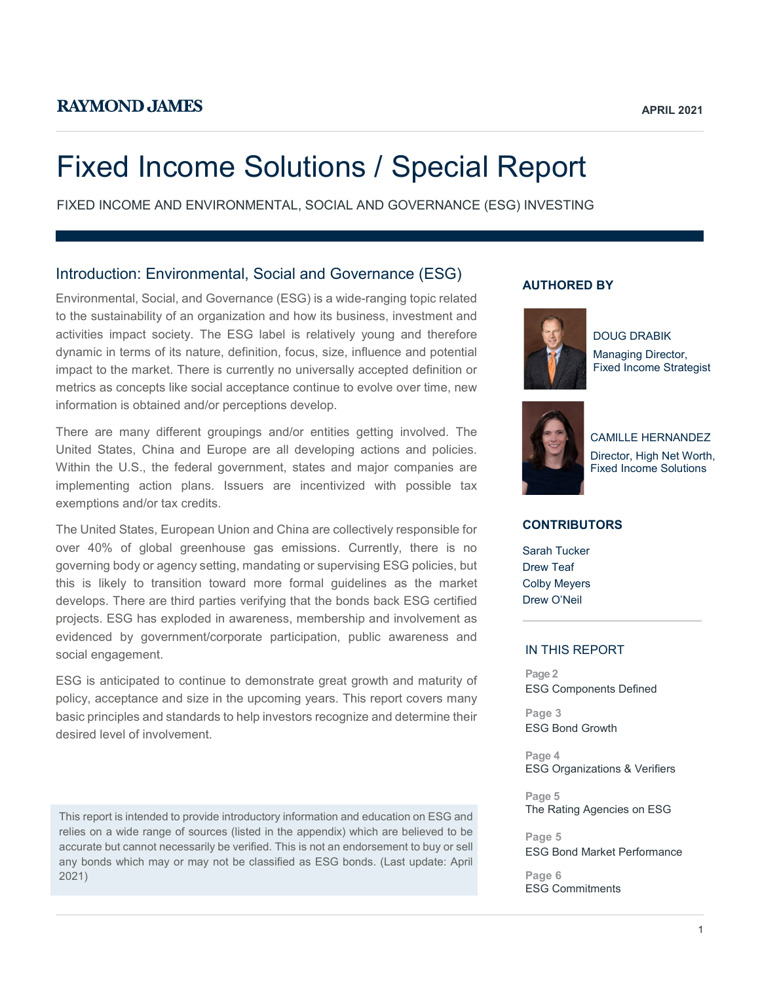# Fixed Income Solutions / Special Report

FIXED INCOME AND ENVIRONMENTAL, SOCIAL AND GOVERNANCE (ESG) INVESTING

## Introduction: Environmental, Social and Governance (ESG)

Environmental, Social, and Governance (ESG) is a wide-ranging topic related to the sustainability of an organization and how its business, investment and activities impact society. The ESG label is relatively young and therefore dynamic in terms of its nature, definition, focus, size, influence and potential impact to the market. There is currently no universally accepted definition or metrics as concepts like social acceptance continue to evolve over time, new information is obtained and/or perceptions develop.

There are many different groupings and/or entities getting involved. The United States, China and Europe are all developing actions and policies. Within the U.S., the federal government, states and major companies are implementing action plans. Issuers are incentivized with possible tax exemptions and/or tax credits.

The United States, European Union and China are collectively responsible for over 40% of global greenhouse gas emissions. Currently, there is no governing body or agency setting, mandating or supervising ESG policies, but this is likely to transition toward more formal guidelines as the market develops. There are third parties verifying that the bonds back ESG certified projects. ESG has exploded in awareness, membership and involvement as evidenced by government/corporate participation, public awareness and social engagement.

ESG is anticipated to continue to demonstrate great growth and maturity of policy, acceptance and size in the upcoming years. This report covers many basic principles and standards to help investors recognize and determine their desired level of involvement.

This report is intended to provide introductory information and education on ESG and relies on a wide range of sources (listed in the appendix) which are believed to be accurate but cannot necessarily be verified. This is not an endorsement to buy or sell any bonds which may or may not be classified as ESG bonds. (Last update: April 2021)

## **AUTHORED BY**



DOUG DRABIK Managing Director, Fixed Income Strategist



CAMILLE HERNANDEZ Director, High Net Worth, Fixed Income Solutions

## **CONTRIBUTORS**

Sarah Tucker Drew Teaf Colby Meyers Drew O'Neil

## IN THIS REPORT

**Page 2** ESG Components Defined

**Page 3** ESG Bond Growth

**Page 4** ESG Organizations & Verifiers

**Page 5** The Rating Agencies on ESG

**Page 5** ESG Bond Market Performance

**Page 6** ESG Commitments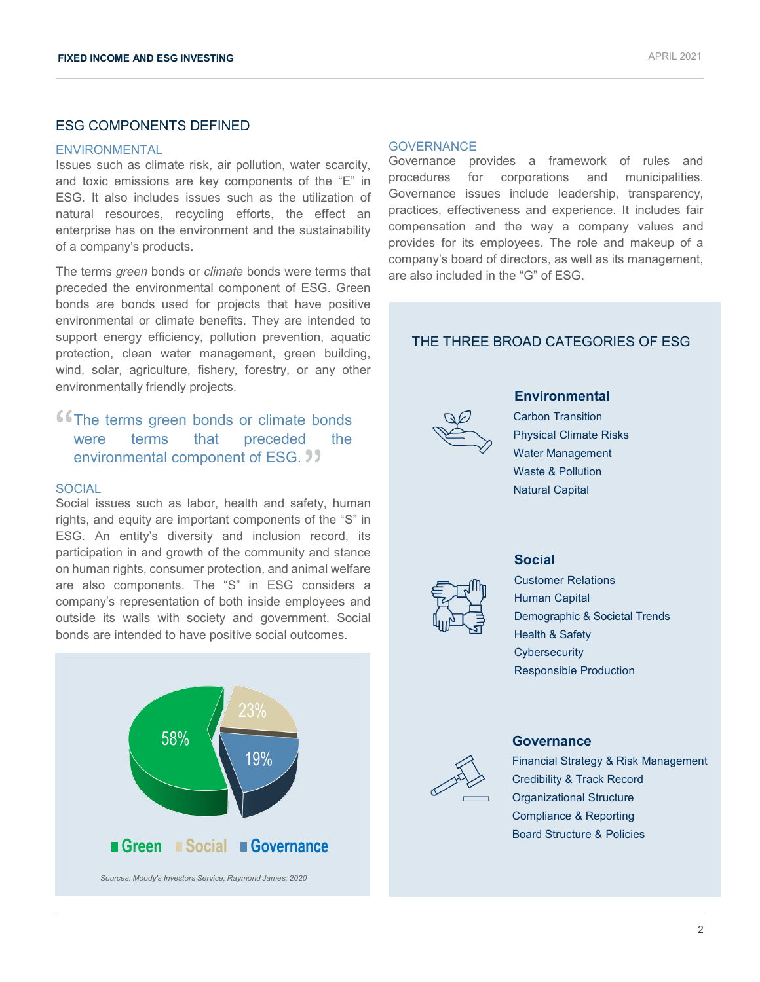## ESG COMPONENTS DEFINED

#### ENVIRONMENTAL

Issues such as climate risk, air pollution, water scarcity, and toxic emissions are key components of the "E" in ESG. It also includes issues such as the utilization of natural resources, recycling efforts, the effect an enterprise has on the environment and the sustainability of a company's products.

The terms *green* bonds or *climate* bonds were terms that preceded the environmental component of ESG. Green bonds are bonds used for projects that have positive environmental or climate benefits. They are intended to support energy efficiency, pollution prevention, aquatic protection, clean water management, green building, wind, solar, agriculture, fishery, forestry, or any other environmentally friendly projects.

## **The terms green bonds or climate bonds** were terms that preceded the environmental component of ESG. **39**

#### SOCIAL

Social issues such as labor, health and safety, human rights, and equity are important components of the "S" in ESG. An entity's diversity and inclusion record, its participation in and growth of the community and stance on human rights, consumer protection, and animal welfare are also components. The "S" in ESG considers a company's representation of both inside employees and outside its walls with society and government. Social bonds are intended to have positive social outcomes.



#### **GOVERNANCE**

Governance provides a framework of rules and procedures for corporations and municipalities. Governance issues include leadership, transparency, practices, effectiveness and experience. It includes fair compensation and the way a company values and provides for its employees. The role and makeup of a company's board of directors, as well as its management, are also included in the "G" of ESG.

## THE THREE BROAD CATEGORIES OF ESG



## **Environmental**

Carbon Transition Physical Climate Risks Water Management Waste & Pollution Natural Capital



## **Social**

Customer Relations Human Capital Demographic & Societal Trends Health & Safety **Cybersecurity** Responsible Production



#### **Governance**

Financial Strategy & Risk Management Credibility & Track Record Organizational Structure Compliance & Reporting Board Structure & Policies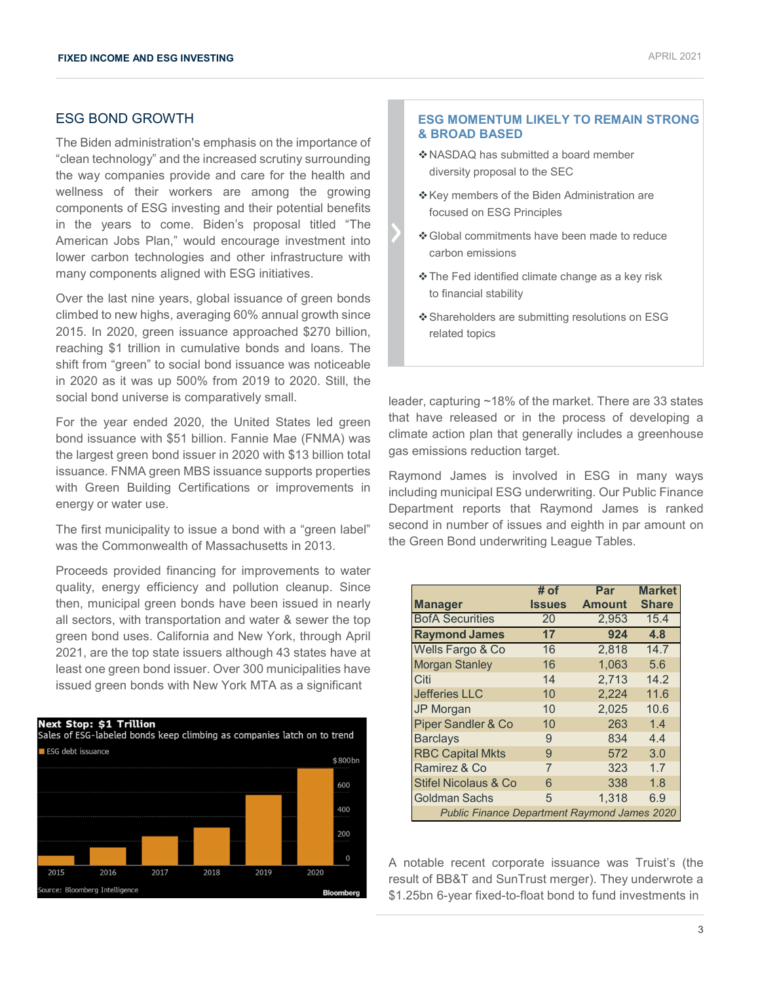## ESG BOND GROWTH

The Biden administration's emphasis on the importance of "clean technology" and the increased scrutiny surrounding the way companies provide and care for the health and wellness of their workers are among the growing components of ESG investing and their potential benefits in the years to come. Biden's proposal titled "The American Jobs Plan," would encourage investment into lower carbon technologies and other infrastructure with many components aligned with ESG initiatives.

Over the last nine years, global issuance of green bonds climbed to new highs, averaging 60% annual growth since 2015. In 2020, green issuance approached \$270 billion, reaching \$1 trillion in cumulative bonds and loans. The shift from "green" to social bond issuance was noticeable in 2020 as it was up 500% from 2019 to 2020. Still, the social bond universe is comparatively small.

For the year ended 2020, the United States led green bond issuance with \$51 billion. Fannie Mae (FNMA) was the largest green bond issuer in 2020 with \$13 billion total issuance. FNMA green MBS issuance supports properties with Green Building Certifications or improvements in energy or water use.

The first municipality to issue a bond with a "green label" was the Commonwealth of Massachusetts in 2013.

Proceeds provided financing for improvements to water quality, energy efficiency and pollution cleanup. Since then, municipal green bonds have been issued in nearly all sectors, with transportation and water & sewer the top green bond uses. California and New York, through April 2021, are the top state issuers although 43 states have at least one green bond issuer. Over 300 municipalities have issued green bonds with New York MTA as a significant



## **ESG MOMENTUM LIKELY TO REMAIN STRONG & BROAD BASED**

- NASDAQ has submitted a board member diversity proposal to the SEC
- \* Key members of the Biden Administration are focused on ESG Principles
- Global commitments have been made to reduce carbon emissions
- The Fed identified climate change as a key risk to financial stability
- Shareholders are submitting resolutions on ESG related topics

leader, capturing ~18% of the market. There are 33 states that have released or in the process of developing a climate action plan that generally includes a greenhouse gas emissions reduction target.

Raymond James is involved in ESG in many ways including municipal ESG underwriting. Our Public Finance Department reports that Raymond James is ranked second in number of issues and eighth in par amount on the Green Bond underwriting League Tables.

|                                                     | # of          | Par           | <b>Market</b> |  |  |
|-----------------------------------------------------|---------------|---------------|---------------|--|--|
| <b>Manager</b>                                      | <b>Issues</b> | <b>Amount</b> | <b>Share</b>  |  |  |
| <b>BofA Securities</b>                              | 20            | 2.953         | 15.4          |  |  |
| <b>Raymond James</b>                                | 17            | 924           | 4.8           |  |  |
| Wells Fargo & Co                                    | 16            | 2,818         | 14.7          |  |  |
| <b>Morgan Stanley</b>                               | 16            | 1.063         | 5.6           |  |  |
| Citi                                                | 14            | 2,713         | 14.2          |  |  |
| <b>Jefferies LLC</b>                                | 10            | 2,224         | 11.6          |  |  |
| <b>JP Morgan</b>                                    | 10            | 2,025         | 10.6          |  |  |
| <b>Piper Sandler &amp; Co</b>                       | 10            | 263           | 1.4           |  |  |
| <b>Barclays</b>                                     | 9             | 834           | 4.4           |  |  |
| <b>RBC Capital Mkts</b>                             | 9             | 572           | 3.0           |  |  |
| Ramirez & Co                                        | 7             | 323           | 1.7           |  |  |
| Stifel Nicolaus & Co                                | 6             | 338           | 1.8           |  |  |
| <b>Goldman Sachs</b>                                | 5             | 1.318         | 6.9           |  |  |
| <b>Public Finance Department Raymond James 2020</b> |               |               |               |  |  |

A notable recent corporate issuance was Truist's (the result of BB&T and SunTrust merger). They underwrote a \$1.25bn 6-year fixed-to-float bond to fund investments in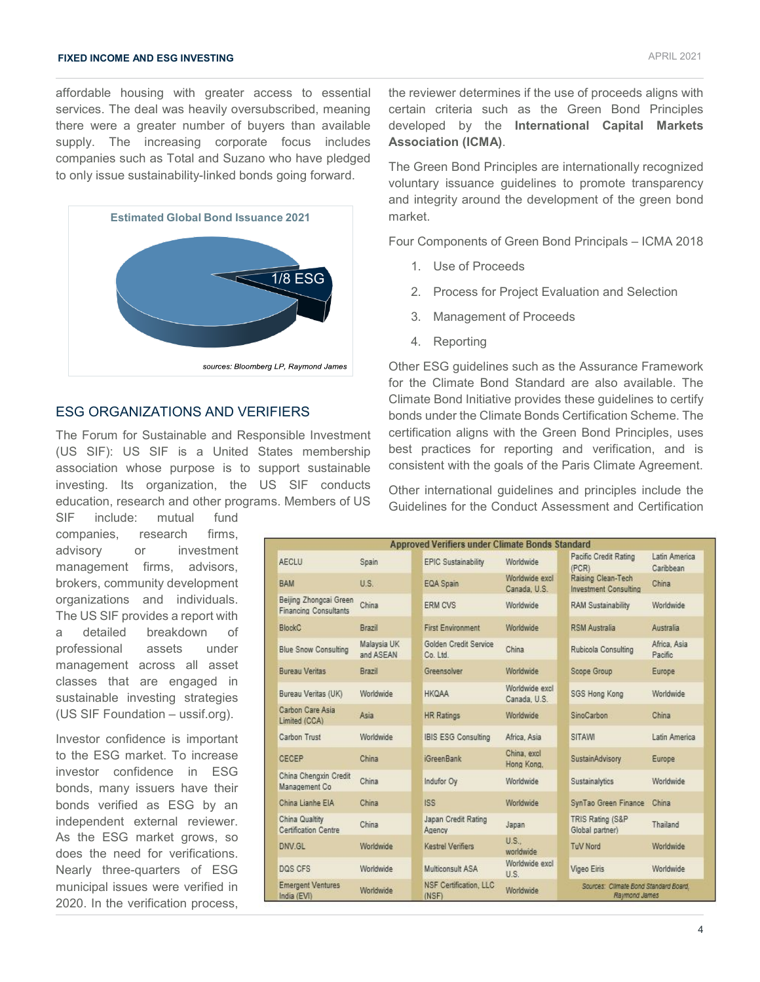## **FIXED INCOME AND ESG INVESTING** APRIL 2021

affordable housing with greater access to essential services. The deal was heavily oversubscribed, meaning there were a greater number of buyers than available supply. The increasing corporate focus includes companies such as Total and Suzano who have pledged to only issue sustainability-linked bonds going forward.



## ESG ORGANIZATIONS AND VERIFIERS

The Forum for Sustainable and Responsible Investment (US SIF): US SIF is a United States membership association whose purpose is to support sustainable investing. Its organization, the US SIF conducts education, research and other programs. Members of US

SIF include: mutual fund companies, research firms, advisory or investment management firms, advisors, brokers, community development organizations and individuals. The US SIF provides a report with a detailed breakdown of professional assets under management across all asset classes that are engaged in sustainable investing strategies (US SIF Foundation – ussif.org).

Investor confidence is important to the ESG market. To increase investor confidence in ESG bonds, many issuers have their bonds verified as ESG by an independent external reviewer. As the ESG market grows, so does the need for verifications. Nearly three-quarters of ESG municipal issues were verified in 2020. In the verification process,

the reviewer determines if the use of proceeds aligns with certain criteria such as the Green Bond Principles developed by the **International Capital Markets Association (ICMA)**.

The Green Bond Principles are internationally recognized voluntary issuance guidelines to promote transparency and integrity around the development of the green bond market.

Four Components of Green Bond Principals – ICMA 2018

- 1. Use of Proceeds
- 2. Process for Project Evaluation and Selection
- 3. Management of Proceeds
- 4. Reporting

Other ESG guidelines such as the Assurance Framework for the Climate Bond Standard are also available. The Climate Bond Initiative provides these guidelines to certify bonds under the Climate Bonds Certification Scheme. The certification aligns with the Green Bond Principles, uses best practices for reporting and verification, and is consistent with the goals of the Paris Climate Agreement.

Other international guidelines and principles include the Guidelines for the Conduct Assessment and Certification

| <b>Approved Verifiers under Climate Bonds Standard</b> |                          |                                        |                                |                                                        |                            |  |  |  |
|--------------------------------------------------------|--------------------------|----------------------------------------|--------------------------------|--------------------------------------------------------|----------------------------|--|--|--|
| <b>AECLU</b>                                           | Spain                    | EPIC Sustainability                    | Worldwide                      | Pacific Credit Rating<br>(PCR)                         | Latin America<br>Caribbean |  |  |  |
| <b>BAM</b>                                             | U.S.                     | EQA Spain                              | Worldwide excl<br>Canada, U.S. | Raising Clean-Tech<br><b>Investment Consulting</b>     | China                      |  |  |  |
| Beijing Zhongcai Green<br><b>Financing Consultants</b> | China                    | <b>ERM CVS</b>                         | Worldwide                      | RAM Sustainability                                     | Worldwide                  |  |  |  |
| <b>BlockC</b>                                          | <b>Brazil</b>            | First Environment                      | Worldwide                      | <b>RSM Australia</b>                                   | Australia                  |  |  |  |
| <b>Blue Snow Consulting</b>                            | Malaysia UK<br>and ASEAN | Golden Credit Service<br>Co. Ltd.      | China                          | Rubicola Consulting                                    | Africa, Asia<br>Pacific    |  |  |  |
| Bureau Veritas                                         | <b>Brazil</b>            | Greensolver                            | Worldwide                      | Scope Group                                            | Europe                     |  |  |  |
| Bureau Veritas (UK)                                    | Worldwide                | <b>HKQAA</b>                           | Worldwide excl<br>Canada, U.S. | SGS Hong Kong                                          | Worldwide                  |  |  |  |
| Carbon Care Asia<br>Limited (CCA)                      | Asia                     | <b>HR Ratings</b>                      | Worldwide                      | SinoCarbon                                             | China                      |  |  |  |
| Carbon Trust                                           | Worldwide                | <b>IBIS ESG Consulting</b>             | Africa, Asia                   | <b>SITAWI</b>                                          | Latin America              |  |  |  |
| CECEP                                                  | China                    | <b>iGreenBank</b>                      | China, excl<br>Hong Kong.      | SustainAdvisory                                        | <b>Europe</b>              |  |  |  |
| China Chengxin Credit<br>Management Co.                | China                    | Indufor Oy                             | Worldwide                      | Sustainalytics                                         | Worldwide                  |  |  |  |
| China Lianhe EIA                                       | China                    | ISS <sup>1</sup>                       | Worldwide                      | SynTao Green Finance                                   | China                      |  |  |  |
| China Qualtity<br><b>Certification Centre</b>          | China                    | Japan Credit Rating<br>Agency          | Japan                          | TRIS Rating (S&P)<br>Global partner)                   | Thailand                   |  |  |  |
| DNV GL                                                 | Worldwide                | Kestrel Verifiers                      | U.S.<br>worldwide              | <b>TuV Nord</b>                                        | Worldwide                  |  |  |  |
| DOS CFS                                                | Worldwide                | Multiconsult ASA                       | Worldwide excl<br>U.S.         | Vigeo Eiris                                            | Worldwide                  |  |  |  |
| <b>Emergent Ventures</b><br>India (EVI)                | Worldwide                | <b>NSF Certification, LLC</b><br>(NSF) | Worldwide                      | Sources: Climate Bond Standard Board,<br>Raymond James |                            |  |  |  |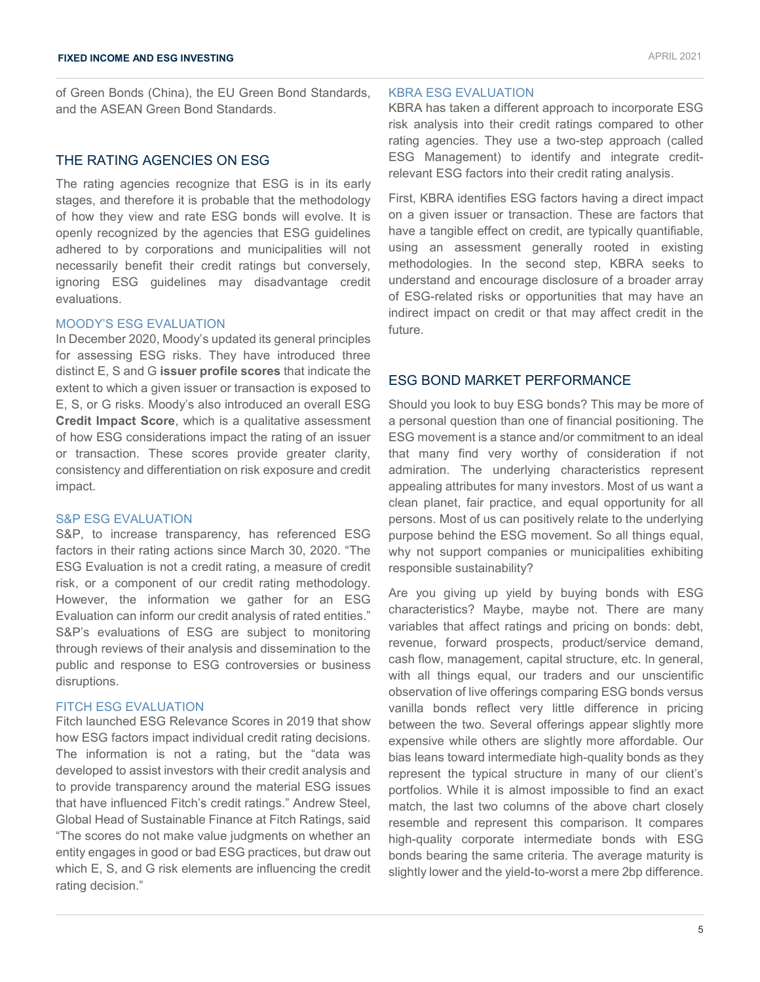of Green Bonds (China), the EU Green Bond Standards, and the ASEAN Green Bond Standards.

## THE RATING AGENCIES ON ESG

The rating agencies recognize that ESG is in its early stages, and therefore it is probable that the methodology of how they view and rate ESG bonds will evolve. It is openly recognized by the agencies that ESG guidelines adhered to by corporations and municipalities will not necessarily benefit their credit ratings but conversely, ignoring ESG guidelines may disadvantage credit evaluations.

## MOODY'S ESG EVALUATION

In December 2020, Moody's updated its general principles for assessing ESG risks. They have introduced three distinct E, S and G **issuer profile scores** that indicate the extent to which a given issuer or transaction is exposed to E, S, or G risks. Moody's also introduced an overall ESG **Credit Impact Score**, which is a qualitative assessment of how ESG considerations impact the rating of an issuer or transaction. These scores provide greater clarity, consistency and differentiation on risk exposure and credit impact.

## S&P ESG EVALUATION

S&P, to increase transparency, has referenced ESG factors in their rating actions since March 30, 2020. "The ESG Evaluation is not a credit rating, a measure of credit risk, or a component of our credit rating methodology. However, the information we gather for an ESG Evaluation can inform our credit analysis of rated entities." S&P's evaluations of ESG are subject to monitoring through reviews of their analysis and dissemination to the public and response to ESG controversies or business disruptions.

## FITCH ESG EVALUATION

Fitch launched ESG Relevance Scores in 2019 that show how ESG factors impact individual credit rating decisions. The information is not a rating, but the "data was developed to assist investors with their credit analysis and to provide transparency around the material ESG issues that have influenced Fitch's credit ratings." Andrew Steel, Global Head of Sustainable Finance at Fitch Ratings, said "The scores do not make value judgments on whether an entity engages in good or bad ESG practices, but draw out which E, S, and G risk elements are influencing the credit rating decision."

#### KBRA ESG EVALUATION

KBRA has taken a different approach to incorporate ESG risk analysis into their credit ratings compared to other rating agencies. They use a two-step approach (called ESG Management) to identify and integrate creditrelevant ESG factors into their credit rating analysis.

First, KBRA identifies ESG factors having a direct impact on a given issuer or transaction. These are factors that have a tangible effect on credit, are typically quantifiable, using an assessment generally rooted in existing methodologies. In the second step, KBRA seeks to understand and encourage disclosure of a broader array of ESG-related risks or opportunities that may have an indirect impact on credit or that may affect credit in the future.

## ESG BOND MARKET PERFORMANCE

Should you look to buy ESG bonds? This may be more of a personal question than one of financial positioning. The ESG movement is a stance and/or commitment to an ideal that many find very worthy of consideration if not admiration. The underlying characteristics represent appealing attributes for many investors. Most of us want a clean planet, fair practice, and equal opportunity for all persons. Most of us can positively relate to the underlying purpose behind the ESG movement. So all things equal, why not support companies or municipalities exhibiting responsible sustainability?

Are you giving up yield by buying bonds with ESG characteristics? Maybe, maybe not. There are many variables that affect ratings and pricing on bonds: debt, revenue, forward prospects, product/service demand, cash flow, management, capital structure, etc. In general, with all things equal, our traders and our unscientific observation of live offerings comparing ESG bonds versus vanilla bonds reflect very little difference in pricing between the two. Several offerings appear slightly more expensive while others are slightly more affordable. Our bias leans toward intermediate high-quality bonds as they represent the typical structure in many of our client's portfolios. While it is almost impossible to find an exact match, the last two columns of the above chart closely resemble and represent this comparison. It compares high-quality corporate intermediate bonds with ESG bonds bearing the same criteria. The average maturity is slightly lower and the yield-to-worst a mere 2bp difference.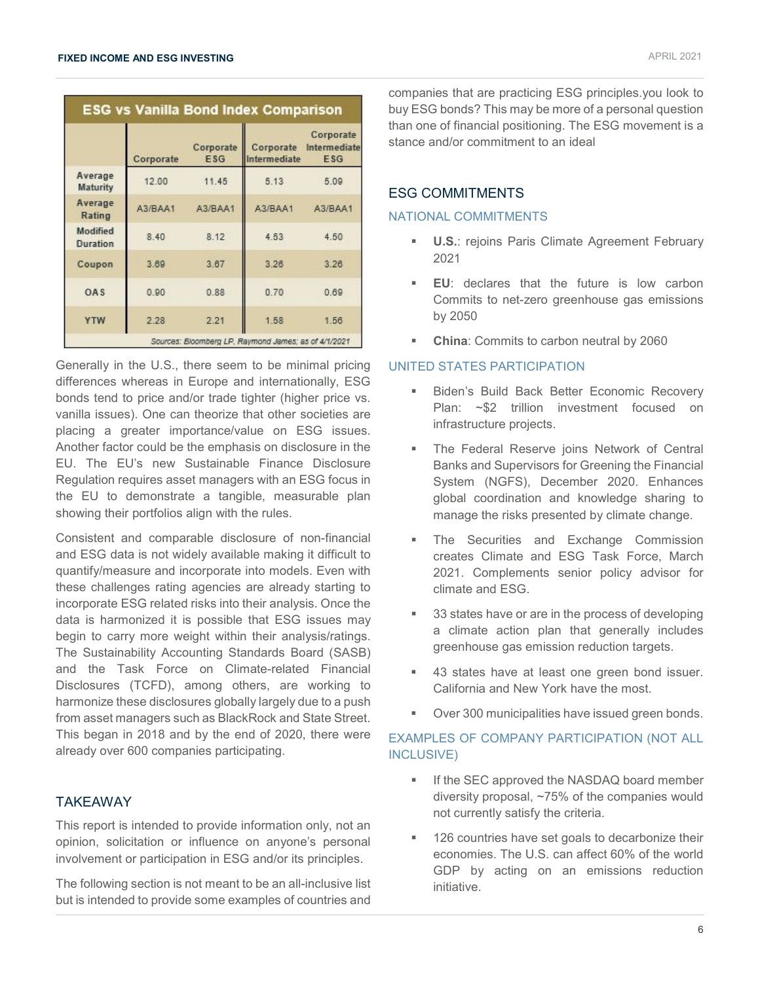|                             | <b>ESG vs Vanilla Bond Index Comparison</b> |                         |                                                      |                                  |  |  |  |
|-----------------------------|---------------------------------------------|-------------------------|------------------------------------------------------|----------------------------------|--|--|--|
|                             | Corporate                                   | Corporate<br><b>ESG</b> | Corporate<br>Intermediate                            | Corporate<br>Intermediate<br>ESG |  |  |  |
| Average<br>Maturity         | 12.00                                       | 11.45                   | 5.13                                                 | 5.09                             |  |  |  |
| Average<br>Rating           | A3/BAA1                                     | A3/BAA1                 | A3/BAA1                                              | A3/BAA1                          |  |  |  |
| Modified<br><b>Duration</b> | 8.40                                        | 8.12                    | 4.53                                                 | 4.50                             |  |  |  |
| Coupon                      | 3.69                                        | 3.67                    | 3.26                                                 | 3.26                             |  |  |  |
| OAS                         | 0.90                                        | 0.88                    | 0.70                                                 | 0.69                             |  |  |  |
| <b>YTW</b>                  | 2.28                                        | 2.21                    | 1.58                                                 | 1.56                             |  |  |  |
|                             |                                             |                         | Sources: Bloomberg LP, Raymond James; as of 4/1/2021 |                                  |  |  |  |

Generally in the U.S., there seem to be minimal pricing differences whereas in Europe and internationally, ESG bonds tend to price and/or trade tighter (higher price vs. vanilla issues). One can theorize that other societies are placing a greater importance/value on ESG issues. Another factor could be the emphasis on disclosure in the EU. The EU's new Sustainable Finance Disclosure Regulation requires asset managers with an ESG focus in the EU to demonstrate a tangible, measurable plan showing their portfolios align with the rules.

Consistent and comparable disclosure of non-financial and ESG data is not widely available making it difficult to quantify/measure and incorporate into models. Even with these challenges rating agencies are already starting to incorporate ESG related risks into their analysis. Once the data is harmonized it is possible that ESG issues may begin to carry more weight within their analysis/ratings. The Sustainability Accounting Standards Board (SASB) and the Task Force on Climate-related Financial Disclosures (TCFD), among others, are working to harmonize these disclosures globally largely due to a push from asset managers such as BlackRock and State Street. This began in 2018 and by the end of 2020, there were already over 600 companies participating.

## TAKEAWAY

This report is intended to provide information only, not an opinion, solicitation or influence on anyone's personal involvement or participation in ESG and/or its principles.

The following section is not meant to be an all-inclusive list but is intended to provide some examples of countries and

companies that are practicing ESG principles.you look to buy ESG bonds? This may be more of a personal question than one of financial positioning. The ESG movement is a stance and/or commitment to an ideal

## ESG COMMITMENTS

#### NATIONAL COMMITMENTS

- **U.S.**: rejoins Paris Climate Agreement February 2021
- **EU**: declares that the future is low carbon Commits to net-zero greenhouse gas emissions by 2050
- **China**: Commits to carbon neutral by 2060

#### UNITED STATES PARTICIPATION

- Biden's Build Back Better Economic Recovery Plan: ~\$2 trillion investment focused on infrastructure projects.
- The Federal Reserve joins Network of Central Banks and Supervisors for Greening the Financial System (NGFS), December 2020. Enhances global coordination and knowledge sharing to manage the risks presented by climate change.
- The Securities and Exchange Commission creates Climate and ESG Task Force, March 2021. Complements senior policy advisor for climate and ESG.
- 33 states have or are in the process of developing a climate action plan that generally includes greenhouse gas emission reduction targets.
- 43 states have at least one green bond issuer. California and New York have the most.
- Over 300 municipalities have issued green bonds.

## EXAMPLES OF COMPANY PARTICIPATION (NOT ALL INCLUSIVE)

- If the SEC approved the NASDAQ board member diversity proposal, ~75% of the companies would not currently satisfy the criteria.
- 126 countries have set goals to decarbonize their economies. The U.S. can affect 60% of the world GDP by acting on an emissions reduction initiative.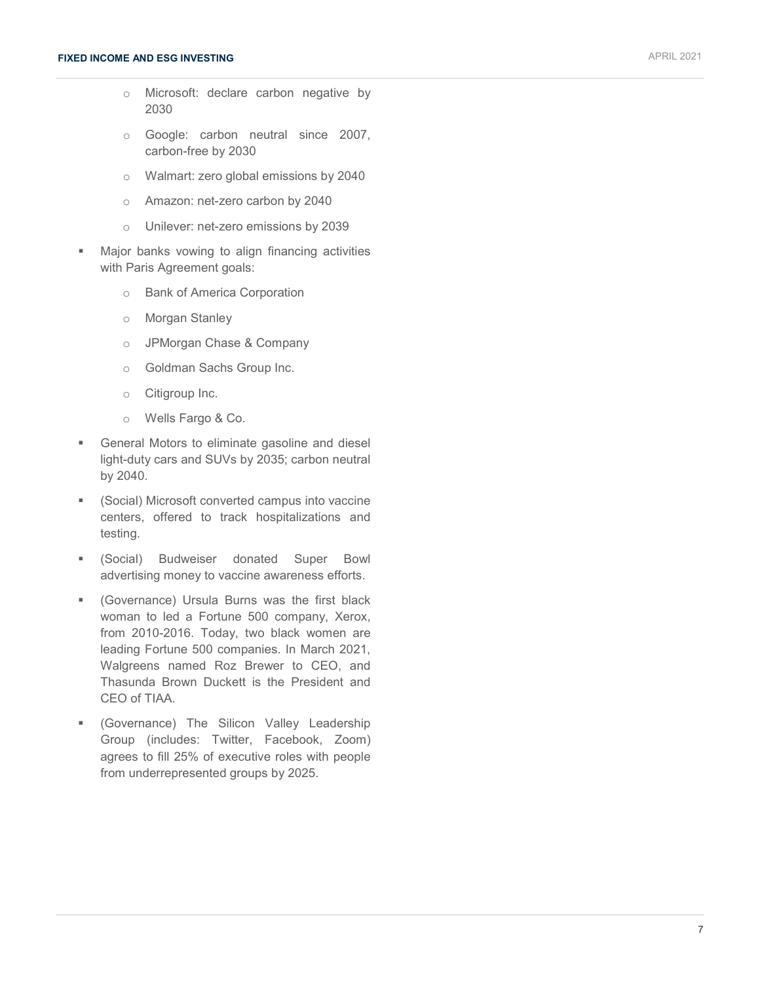- o Microsoft: declare carbon negative by 2030
- o Google: carbon neutral since 2007, carbon-free by 2030
- o Walmart: zero global emissions by 2040
- o Amazon: net-zero carbon by 2040
- o Unilever: net-zero emissions by 2039
- Major banks vowing to align financing activities with Paris Agreement goals:
	- o Bank of America Corporation
	- o Morgan Stanley
	- o JPMorgan Chase & Company
	- o Goldman Sachs Group Inc.
	- o Citigroup Inc.
	- o Wells Fargo & Co.
- **General Motors to eliminate gasoline and diesel** light-duty cars and SUVs by 2035; carbon neutral by 2040.
- (Social) Microsoft converted campus into vaccine centers, offered to track hospitalizations and testing.
- (Social) Budweiser donated Super Bowl advertising money to vaccine awareness efforts.
- (Governance) Ursula Burns was the first black woman to led a Fortune 500 company, Xerox, from 2010-2016. Today, two black women are leading Fortune 500 companies. In March 2021, Walgreens named Roz Brewer to CEO, and Thasunda Brown Duckett is the President and CEO of TIAA.
- (Governance) The Silicon Valley Leadership Group (includes: Twitter, Facebook, Zoom) agrees to fill 25% of executive roles with people from underrepresented groups by 2025.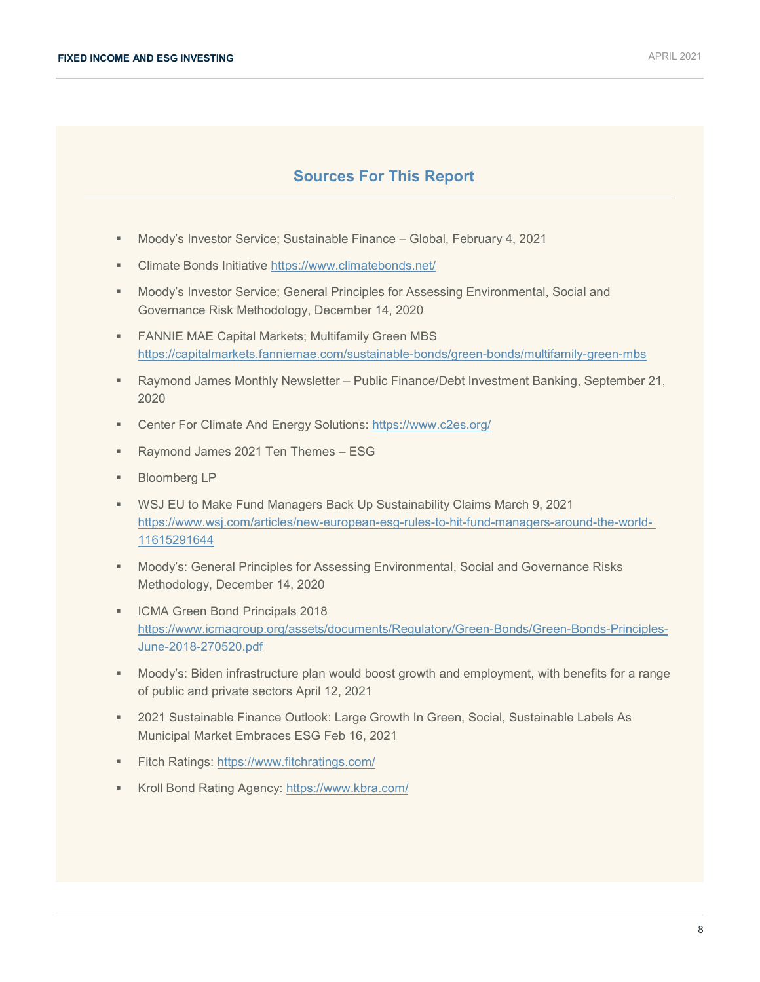## **Sources For This Report**

- Moody's Investor Service; Sustainable Finance Global, February 4, 2021
- Climate Bonds Initiative<https://www.climatebonds.net/>
- **Moody's Investor Service; General Principles for Assessing Environmental, Social and** Governance Risk Methodology, December 14, 2020
- **FANNIE MAE Capital Markets; Multifamily Green MBS** <https://capitalmarkets.fanniemae.com/sustainable-bonds/green-bonds/multifamily-green-mbs>
- Raymond James Monthly Newsletter Public Finance/Debt Investment Banking, September 21, 2020
- Center For Climate And Energy Solutions: <https://www.c2es.org/>
- Raymond James 2021 Ten Themes ESG
- **Bloomberg LP**
- WSJ EU to Make Fund Managers Back Up Sustainability Claims March 9, 2021 [https://www.wsj.com/articles/new-european-esg-rules-to-hit-fund-managers-around-the-world-](https://www.wsj.com/articles/new-european-esg-rules-to-hit-fund-managers-around-the-world-%2011615291644)[11615291644](https://www.wsj.com/articles/new-european-esg-rules-to-hit-fund-managers-around-the-world-%2011615291644)
- Moody's: General Principles for Assessing Environmental, Social and Governance Risks Methodology, December 14, 2020
- **ICMA Green Bond Principals 2018** [https://www.icmagroup.org/assets/documents/Regulatory/Green-Bonds/Green-Bonds-Principles-](https://www.icmagroup.org/assets/documents/Regulatory/Green-Bonds/Green-Bonds-Principles-June-2018-270520.pdf)[June-2018-270520.pdf](https://www.icmagroup.org/assets/documents/Regulatory/Green-Bonds/Green-Bonds-Principles-June-2018-270520.pdf)
- Moody's: Biden infrastructure plan would boost growth and employment, with benefits for a range of public and private sectors April 12, 2021
- 2021 Sustainable Finance Outlook: Large Growth In Green, Social, Sustainable Labels As Municipal Market Embraces ESG Feb 16, 2021
- Fitch Ratings:<https://www.fitchratings.com/>
- Kroll Bond Rating Agency:<https://www.kbra.com/>